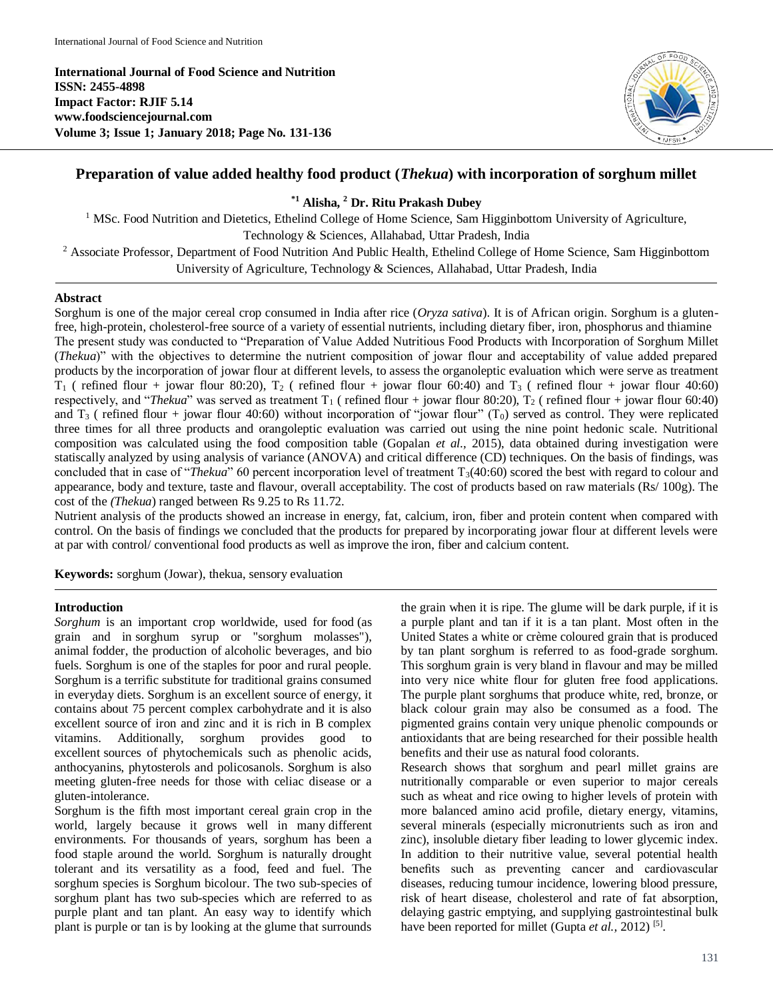**International Journal of Food Science and Nutrition ISSN: 2455-4898 Impact Factor: RJIF 5.14 www.foodsciencejournal.com Volume 3; Issue 1; January 2018; Page No. 131-136**



# **Preparation of value added healthy food product (***Thekua***) with incorporation of sorghum millet**

## **\*1 Alisha, <sup>2</sup> Dr. Ritu Prakash Dubey**

<sup>1</sup> MSc. Food Nutrition and Dietetics, Ethelind College of Home Science, Sam Higginbottom University of Agriculture, Technology & Sciences, Allahabad, Uttar Pradesh, India

<sup>2</sup> Associate Professor, Department of Food Nutrition And Public Health, Ethelind College of Home Science, Sam Higginbottom University of Agriculture, Technology & Sciences, Allahabad, Uttar Pradesh, India

## **Abstract**

Sorghum is one of the major cereal crop consumed in India after rice (*Oryza sativa*). It is of African origin. Sorghum is a glutenfree, high-protein, cholesterol-free source of a variety of essential nutrients, including dietary fiber, iron, phosphorus and thiamine The present study was conducted to "Preparation of Value Added Nutritious Food Products with Incorporation of Sorghum Millet (*Thekua*)" with the objectives to determine the nutrient composition of jowar flour and acceptability of value added prepared products by the incorporation of jowar flour at different levels, to assess the organoleptic evaluation which were serve as treatment  $T_1$  ( refined flour + jowar flour 80:20),  $T_2$  ( refined flour + jowar flour 60:40) and  $T_3$  ( refined flour + jowar flour 40:60) respectively, and "*Thekua*" was served as treatment  $T_1$  ( refined flour + jowar flour 80:20),  $T_2$  ( refined flour + jowar flour 60:40) and  $T_3$  ( refined flour + jowar flour 40:60) without incorporation of "jowar flour" (T<sub>0</sub>) served as control. They were replicated three times for all three products and orangoleptic evaluation was carried out using the nine point hedonic scale. Nutritional composition was calculated using the food composition table (Gopalan *et al.,* 2015), data obtained during investigation were statiscally analyzed by using analysis of variance (ANOVA) and critical difference (CD) techniques. On the basis of findings, was concluded that in case of "*Thekua*" 60 percent incorporation level of treatment T<sub>3</sub>(40:60) scored the best with regard to colour and appearance, body and texture, taste and flavour, overall acceptability. The cost of products based on raw materials (Rs/ 100g). The cost of the *(Thekua*) ranged between Rs 9.25 to Rs 11.72.

Nutrient analysis of the products showed an increase in energy, fat, calcium, iron, fiber and protein content when compared with control. On the basis of findings we concluded that the products for prepared by incorporating jowar flour at different levels were at par with control/ conventional food products as well as improve the iron, fiber and calcium content.

**Keywords:** sorghum (Jowar), thekua, sensory evaluation

#### **Introduction**

*Sorghum* is an important crop worldwide, used for food (as grain and in sorghum syrup or "sorghum molasses"), animal fodder, the production of alcoholic beverages, and bio fuels. Sorghum is one of the staples for poor and rural people. Sorghum is a terrific substitute for traditional grains consumed in everyday diets. Sorghum is an excellent source of energy, it contains about 75 percent complex carbohydrate and it is also excellent source of iron and zinc and it is rich in B complex vitamins. Additionally, sorghum provides good to excellent sources of phytochemicals such as phenolic acids, anthocyanins, phytosterols and policosanols. Sorghum is also meeting gluten-free needs for those with celiac disease or a gluten-intolerance.

Sorghum is the fifth most important cereal grain crop in the world, largely because it grows well in many different environments. For thousands of years, sorghum has been a food staple around the world. Sorghum is naturally drought tolerant and its versatility as a food, feed and fuel. The sorghum species is Sorghum bicolour. The two sub-species of sorghum plant has two sub-species which are referred to as purple plant and tan plant. An easy way to identify which plant is purple or tan is by looking at the glume that surrounds

the grain when it is ripe. The glume will be dark purple, if it is a purple plant and tan if it is a tan plant. Most often in the United States a white or crème coloured grain that is produced by tan plant sorghum is referred to as food-grade sorghum. This sorghum grain is very bland in flavour and may be milled into very nice white flour for gluten free food applications. The purple plant sorghums that produce white, red, bronze, or black colour grain may also be consumed as a food. The pigmented grains contain very unique phenolic compounds or antioxidants that are being researched for their possible health benefits and their use as natural food colorants.

Research shows that sorghum and pearl millet grains are nutritionally comparable or even superior to major cereals such as wheat and rice owing to higher levels of protein with more balanced amino acid profile, dietary energy, vitamins, several minerals (especially micronutrients such as iron and zinc), insoluble dietary fiber leading to lower glycemic index. In addition to their nutritive value, several potential health benefits such as preventing cancer and cardiovascular diseases, reducing tumour incidence, lowering blood pressure, risk of heart disease, cholesterol and rate of fat absorption, delaying gastric emptying, and supplying gastrointestinal bulk have been reported for millet (Gupta *et al.*, 2012)<sup>[5]</sup>.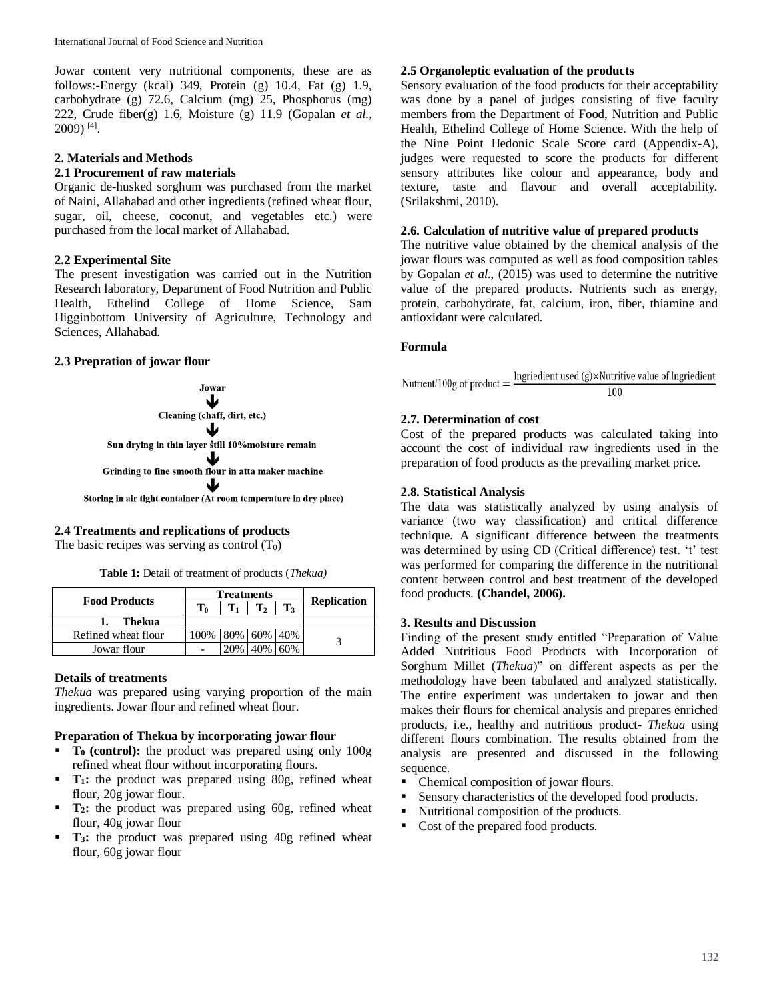Jowar content very nutritional components, these are as follows:-Energy (kcal) 349, Protein (g) 10.4, Fat (g) 1.9, carbohydrate (g) 72.6, Calcium (mg) 25, Phosphorus (mg) 222, Crude fiber(g) 1.6, Moisture (g) 11.9 (Gopalan *et al.,* 2009) [4] .

## **2. Materials and Methods**

#### **2.1 Procurement of raw materials**

Organic de-husked sorghum was purchased from the market of Naini, Allahabad and other ingredients (refined wheat flour, sugar, oil, cheese, coconut, and vegetables etc.) were purchased from the local market of Allahabad.

## **2.2 Experimental Site**

The present investigation was carried out in the Nutrition Research laboratory, Department of Food Nutrition and Public Health, Ethelind College of Home Science, Sam Higginbottom University of Agriculture, Technology and Sciences, Allahabad.

## **2.3 Prepration of jowar flour**



## **2.4 Treatments and replications of products**

The basic recipes was serving as control  $(T_0)$ 

**Table 1:** Detail of treatment of products (*Thekua)*

|                      |                | <b>Treatments</b> |                        |                |                    |
|----------------------|----------------|-------------------|------------------------|----------------|--------------------|
| <b>Food Products</b> | T <sub>0</sub> |                   |                        | $\mathbf{T}_3$ | <b>Replication</b> |
| Thekua               |                |                   |                        |                |                    |
| Refined wheat flour  | 100%           | 80%   60%   40%   |                        |                |                    |
| Jowar flour          |                | 20%               | $A\Omega$ <sub>2</sub> | 60%            |                    |

#### **Details of treatments**

*Thekua* was prepared using varying proportion of the main ingredients. Jowar flour and refined wheat flour.

#### **Preparation of Thekua by incorporating jowar flour**

- **T0 (control):** the product was prepared using only 100g refined wheat flour without incorporating flours.
- **T**<sub>1</sub>: the product was prepared using 80g, refined wheat flour, 20g jowar flour.
- **T**<sub>2</sub>**:** the product was prepared using 60g, refined wheat flour, 40g jowar flour
- **T3:** the product was prepared using 40g refined wheat flour, 60g jowar flour

## **2.5 Organoleptic evaluation of the products**

Sensory evaluation of the food products for their acceptability was done by a panel of judges consisting of five faculty members from the Department of Food, Nutrition and Public Health, Ethelind College of Home Science. With the help of the Nine Point Hedonic Scale Score card (Appendix-A), judges were requested to score the products for different sensory attributes like colour and appearance, body and texture, taste and flavour and overall acceptability. (Srilakshmi, 2010).

### **2.6. Calculation of nutritive value of prepared products**

The nutritive value obtained by the chemical analysis of the jowar flours was computed as well as food composition tables by Gopalan *et al*., (2015) was used to determine the nutritive value of the prepared products. Nutrients such as energy, protein, carbohydrate, fat, calcium, iron, fiber, thiamine and antioxidant were calculated.

## **Formula**

Ingriedient used  $(g) \times$ Nutritive value of Ingriedient Nutrient/100g of product  $=$ 100

## **2.7. Determination of cost**

Cost of the prepared products was calculated taking into account the cost of individual raw ingredients used in the preparation of food products as the prevailing market price.

## **2.8. Statistical Analysis**

The data was statistically analyzed by using analysis of variance (two way classification) and critical difference technique. A significant difference between the treatments was determined by using CD (Critical difference) test. 't' test was performed for comparing the difference in the nutritional content between control and best treatment of the developed food products. **(Chandel, 2006).**

#### **3. Results and Discussion**

Finding of the present study entitled "Preparation of Value Added Nutritious Food Products with Incorporation of Sorghum Millet (*Thekua*)" on different aspects as per the methodology have been tabulated and analyzed statistically. The entire experiment was undertaken to jowar and then makes their flours for chemical analysis and prepares enriched products, i.e., healthy and nutritious product- *Thekua* using different flours combination. The results obtained from the analysis are presented and discussed in the following sequence.

- Chemical composition of jowar flours.
- Sensory characteristics of the developed food products.
- Nutritional composition of the products.
- Cost of the prepared food products.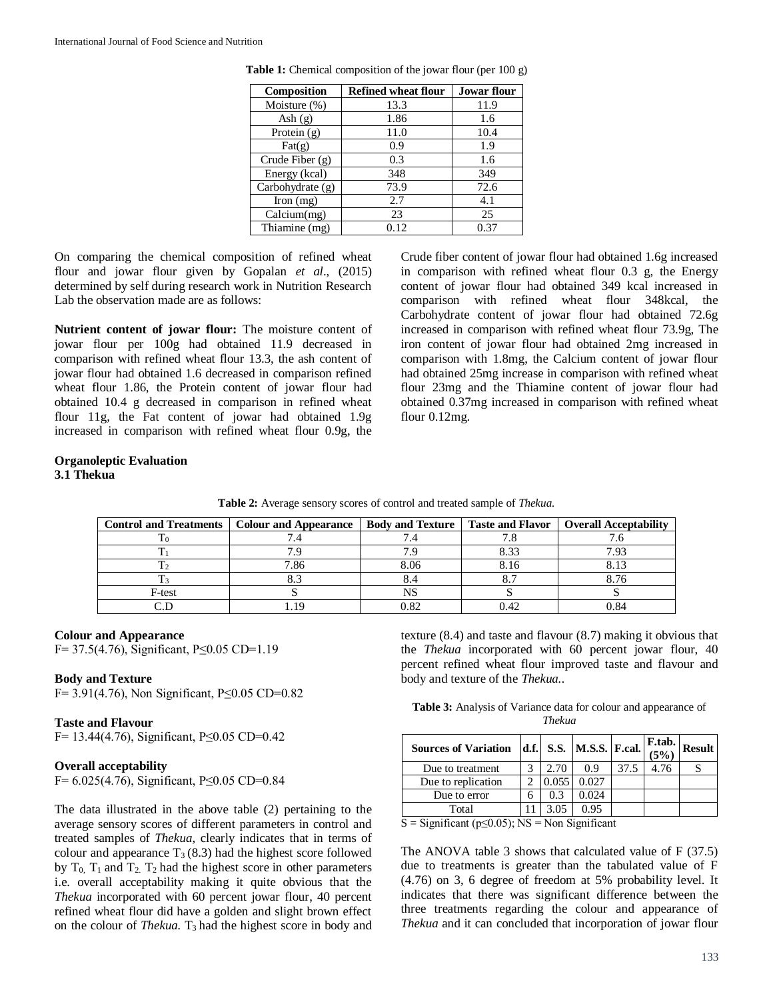| Composition              | <b>Refined wheat flour</b> | <b>Jowar flour</b> |
|--------------------------|----------------------------|--------------------|
| Moisture (%)             | 13.3                       | 11.9               |
| Ash $(g)$                | 1.86                       | 1.6                |
| Protein (g)              | 11.0                       | 10.4               |
| $\text{Fat}(\mathbf{g})$ | 0.9                        | 1.9                |
| Crude Fiber $(g)$        | 0.3                        | 1.6                |
| Energy (kcal)            | 348                        | 349                |
| Carbohydrate (g)         | 73.9                       | 72.6               |
| Iron $(mg)$              | 2.7                        | 4.1                |
| Calcium(mg)              | 23                         | 25                 |
| Thiamine (mg)            | 0.12                       | 0.37               |

Table 1: Chemical composition of the jowar flour (per 100 g)

On comparing the chemical composition of refined wheat flour and jowar flour given by Gopalan *et al*., (2015) determined by self during research work in Nutrition Research Lab the observation made are as follows:

**Nutrient content of jowar flour:** The moisture content of jowar flour per 100g had obtained 11.9 decreased in comparison with refined wheat flour 13.3, the ash content of jowar flour had obtained 1.6 decreased in comparison refined wheat flour 1.86, the Protein content of jowar flour had obtained 10.4 g decreased in comparison in refined wheat flour 11g, the Fat content of jowar had obtained 1.9g increased in comparison with refined wheat flour 0.9g, the

Crude fiber content of jowar flour had obtained 1.6g increased in comparison with refined wheat flour 0.3 g, the Energy content of jowar flour had obtained 349 kcal increased in comparison with refined wheat flour 348kcal, the Carbohydrate content of jowar flour had obtained 72.6g increased in comparison with refined wheat flour 73.9g, The iron content of jowar flour had obtained 2mg increased in comparison with 1.8mg, the Calcium content of jowar flour had obtained 25mg increase in comparison with refined wheat flour 23mg and the Thiamine content of jowar flour had obtained 0.37mg increased in comparison with refined wheat flour 0.12mg.

#### **Organoleptic Evaluation 3.1 Thekua**

| <b>Table 2:</b> Average sensory scores of control and treated sample of <i>Thekua</i> . |  |  |
|-----------------------------------------------------------------------------------------|--|--|
|                                                                                         |  |  |

|        | Control and Treatments   Colour and Appearance |      |      | <b>Body and Texture   Taste and Flavor   Overall Acceptability</b> |
|--------|------------------------------------------------|------|------|--------------------------------------------------------------------|
|        |                                                |      |      |                                                                    |
|        |                                                |      | 8.33 | 7.93                                                               |
|        | 7.86                                           | 8.06 |      |                                                                    |
|        |                                                |      |      | 8.76                                                               |
| F-test |                                                |      |      |                                                                    |
|        |                                                |      |      |                                                                    |

#### **Colour and Appearance**

F= 37.5(4.76), Significant, P≤0.05 CD=1.19

#### **Body and Texture**

F= 3.91(4.76), Non Significant, P≤0.05 CD=0.82

## **Taste and Flavour**

F= 13.44(4.76), Significant, P≤0.05 CD=0.42

#### **Overall acceptability**

F= 6.025(4.76), Significant, P≤0.05 CD=0.84

The data illustrated in the above table (2) pertaining to the average sensory scores of different parameters in control and treated samples of *Thekua*, clearly indicates that in terms of colour and appearance  $T_3(8.3)$  had the highest score followed by  $T_0$ ,  $T_1$  and  $T_2$ .  $T_2$  had the highest score in other parameters i.e. overall acceptability making it quite obvious that the *Thekua* incorporated with 60 percent jowar flour, 40 percent refined wheat flour did have a golden and slight brown effect on the colour of *Thekua*. T<sub>3</sub> had the highest score in body and texture (8.4) and taste and flavour (8.7) making it obvious that the *Thekua* incorporated with 60 percent jowar flour, 40 percent refined wheat flour improved taste and flavour and body and texture of the *Thekua.*.

**Table 3:** Analysis of Variance data for colour and appearance of *Thekua*

| <b>Sources of Variation</b> |   |       | d.f.  S.S.  M.S.S.  F.cal. $\begin{bmatrix} \text{r.t.}\\ (5\%) \end{bmatrix}$ |      |      | <b>Result</b> |
|-----------------------------|---|-------|--------------------------------------------------------------------------------|------|------|---------------|
| Due to treatment            |   | 2.70  | 0.9                                                                            | 37.5 | 4.76 |               |
| Due to replication          |   | 0.055 | 0.027                                                                          |      |      |               |
| Due to error                | 6 | 0.3   | 0.024                                                                          |      |      |               |
| Total                       |   | 3.05  | 0.95                                                                           |      |      |               |

 $S =$  Significant ( $p \le 0.05$ ); NS = Non Significant

The ANOVA table 3 shows that calculated value of F (37.5) due to treatments is greater than the tabulated value of F (4.76) on 3, 6 degree of freedom at 5% probability level. It indicates that there was significant difference between the three treatments regarding the colour and appearance of *Thekua* and it can concluded that incorporation of jowar flour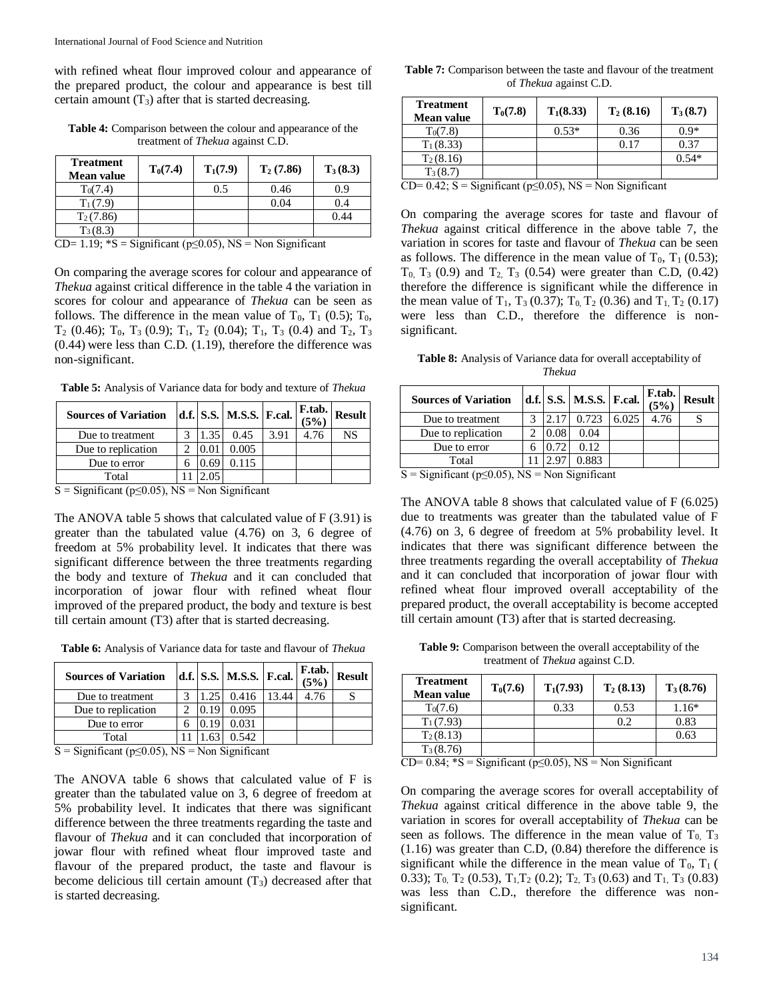with refined wheat flour improved colour and appearance of the prepared product, the colour and appearance is best till certain amount  $(T_3)$  after that is started decreasing.

| <b>Table 4:</b> Comparison between the colour and appearance of the |
|---------------------------------------------------------------------|
| treatment of <i>Thekua</i> against C.D.                             |

| <b>Treatment</b><br><b>Mean value</b> | $T_0(7.4)$ | $T_1(7.9)$ | $T_2(7.86)$ | $T_3(8.3)$ |
|---------------------------------------|------------|------------|-------------|------------|
| $T_0(7.4)$                            |            | 0.5        | 0.46        | 0.9        |
| $T_1(7.9)$                            |            |            | 0.04        | 0.4        |
| $T_2(7.86)$                           |            |            |             | 0.44       |
| $T_3(8.3)$                            |            |            |             |            |

CD= 1.19;  $^*S =$  Significant (p≤0.05), NS = Non Significant

On comparing the average scores for colour and appearance of *Thekua* against critical difference in the table 4 the variation in scores for colour and appearance of *Thekua* can be seen as follows. The difference in the mean value of  $T_0$ ,  $T_1$  (0.5);  $T_0$ ,  $T_2$  (0.46);  $T_0$ ,  $T_3$  (0.9);  $T_1$ ,  $T_2$  (0.04);  $T_1$ ,  $T_3$  (0.4) and  $T_2$ ,  $T_3$ (0.44) were less than C.D. (1.19), therefore the difference was non-significant.

**Table 5:** Analysis of Variance data for body and texture of *Thekua*

| <b>Sources of Variation</b> |                 | d.f. S.S.   M.S.S.   F.cal. |      | F.tab.<br>(5%) | <b>Result</b> |
|-----------------------------|-----------------|-----------------------------|------|----------------|---------------|
| Due to treatment            | 1.35            | 0.45                        | 3.91 | 4.76           | NS            |
| Due to replication          |                 | 0.005                       |      |                |               |
| Due to error                | .69             | 0.115                       |      |                |               |
| Total                       | 05 <sub>1</sub> |                             |      |                |               |

 $S =$  Significant ( $p \le 0.05$ ), NS = Non Significant

The ANOVA table 5 shows that calculated value of  $F(3.91)$  is greater than the tabulated value (4.76) on 3, 6 degree of freedom at 5% probability level. It indicates that there was significant difference between the three treatments regarding the body and texture of *Thekua* and it can concluded that incorporation of jowar flour with refined wheat flour improved of the prepared product, the body and texture is best till certain amount (T3) after that is started decreasing.

**Table 6:** Analysis of Variance data for taste and flavour of *Thekua*

| <b>Sources of Variation</b> |  | d.f. S.S. M.S.S. F.cal. |      | F.tab.<br>(5% | <b>Result</b> |
|-----------------------------|--|-------------------------|------|---------------|---------------|
| Due to treatment            |  | 0.416                   | 3.44 | 4.76          |               |
| Due to replication          |  | 0.095                   |      |               |               |
| Due to error                |  | 0.031                   |      |               |               |
| Total                       |  | 0.542.                  |      |               |               |

 $S =$  Significant (p≤0.05), NS = Non Significant

The ANOVA table 6 shows that calculated value of F is greater than the tabulated value on 3, 6 degree of freedom at 5% probability level. It indicates that there was significant difference between the three treatments regarding the taste and flavour of *Thekua* and it can concluded that incorporation of jowar flour with refined wheat flour improved taste and flavour of the prepared product, the taste and flavour is become delicious till certain amount  $(T_3)$  decreased after that is started decreasing.

| <b>Table 7:</b> Comparison between the taste and flavour of the treatment |                               |  |  |
|---------------------------------------------------------------------------|-------------------------------|--|--|
|                                                                           | of <i>Thekua</i> against C.D. |  |  |

| <b>Treatment</b><br>Mean value | $T_0(7.8)$ | $T_1(8.33)$ | $T_2(8.16)$ | $T_3(8.7)$ |
|--------------------------------|------------|-------------|-------------|------------|
| $T_0(7.8)$                     |            | $0.53*$     | 0.36        | $0.9*$     |
| $T_1(8.33)$                    |            |             | 0.17        | 0.37       |
| $T_2(8.16)$                    |            |             |             | $0.54*$    |
| $T_3(8.7)$                     |            |             |             |            |

 $CD= 0.42$ ; S = Significant (p≤0.05), NS = Non Significant

On comparing the average scores for taste and flavour of *Thekua* against critical difference in the above table 7, the variation in scores for taste and flavour of *Thekua* can be seen as follows. The difference in the mean value of  $T_0$ ,  $T_1$  (0.53);  $T_0$ ,  $T_3$  (0.9) and  $T_2$ ,  $T_3$  (0.54) were greater than C.D, (0.42) therefore the difference is significant while the difference in the mean value of  $T_1$ ,  $T_3$  (0.37);  $T_0$ ,  $T_2$  (0.36) and  $T_1$ ,  $T_2$  (0.17) were less than C.D., therefore the difference is nonsignificant.

**Table 8:** Analysis of Variance data for overall acceptability of *Thekua*

| <b>Sources of Variation</b> |  | d.f. $\vert$ S.S. $\vert$ M.S.S. $\vert$ F.cal. |       | F.tab.<br>(5% | <b>Result</b> |
|-----------------------------|--|-------------------------------------------------|-------|---------------|---------------|
| Due to treatment            |  | 0.723                                           | 6.025 | 4.76          |               |
| Due to replication          |  | 0.04                                            |       |               |               |
| Due to error                |  | 0.12                                            |       |               |               |
| Total                       |  | 0.883                                           |       |               |               |

 $S =$  Significant ( $p \le 0.05$ ), NS = Non Significant

The ANOVA table 8 shows that calculated value of F (6.025) due to treatments was greater than the tabulated value of F (4.76) on 3, 6 degree of freedom at 5% probability level. It indicates that there was significant difference between the three treatments regarding the overall acceptability of *Thekua* and it can concluded that incorporation of jowar flour with refined wheat flour improved overall acceptability of the prepared product, the overall acceptability is become accepted till certain amount (T3) after that is started decreasing.

**Table 9:** Comparison between the overall acceptability of the treatment of *Thekua* against C.D.

| <b>Treatment</b><br>Mean value | $T_0(7.6)$ | $T_1(7.93)$ | $T_2(8.13)$ | $T_3(8.76)$ |
|--------------------------------|------------|-------------|-------------|-------------|
| $T_0(7.6)$                     |            | 0.33        | 0.53        | $1.16*$     |
| $T_1(7.93)$                    |            |             | 0.2         | 0.83        |
| $T_2(8.13)$                    |            |             |             | 0.63        |
| $T_3(8.76)$                    |            |             |             |             |

CD=  $0.84$ ; \*S = Significant (p≤0.05), NS = Non Significant

On comparing the average scores for overall acceptability of *Thekua* against critical difference in the above table 9, the variation in scores for overall acceptability of *Thekua* can be seen as follows. The difference in the mean value of  $T_0$ ,  $T_3$ (1.16) was greater than C.D, (0.84) therefore the difference is significant while the difference in the mean value of  $T_0$ ,  $T_1$  ( 0.33); T<sub>0</sub>, T<sub>2</sub> (0.53), T<sub>1</sub>, T<sub>2</sub> (0.2); T<sub>2</sub>, T<sub>3</sub> (0.63) and T<sub>1</sub>, T<sub>3</sub> (0.83) was less than C.D., therefore the difference was nonsignificant.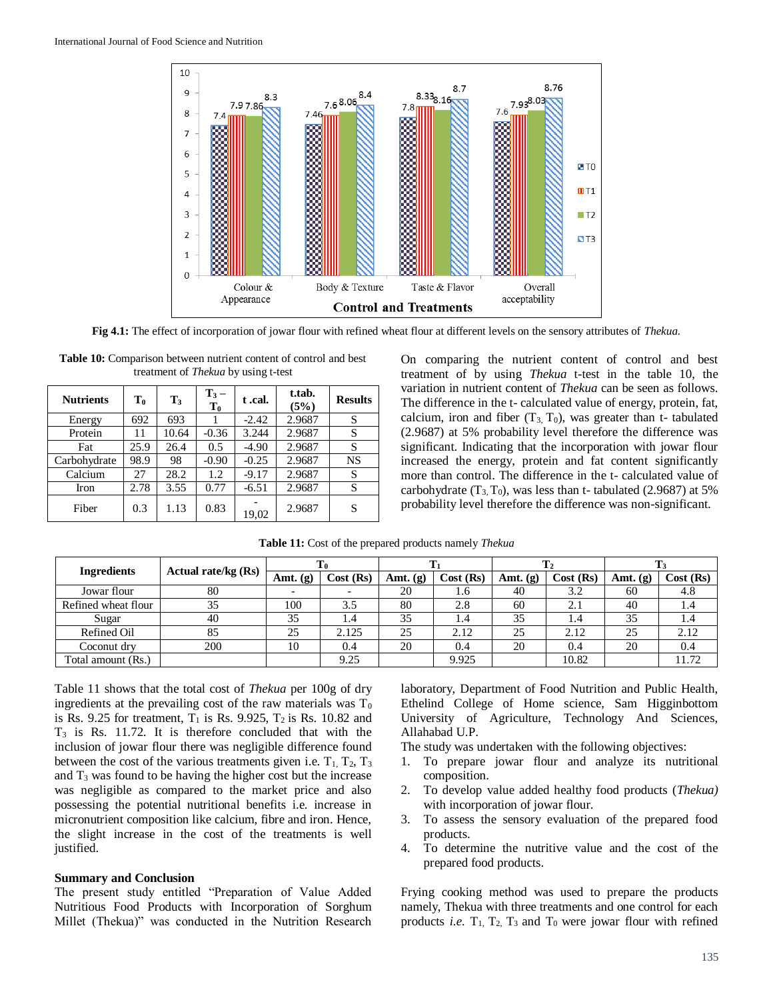

**Fig 4.1:** The effect of incorporation of jowar flour with refined wheat flour at different levels on the sensory attributes of *Thekua.*

| <b>Nutrients</b> | $\mathbf{T_0}$ | $T_3$ | $T_3 -$<br>$\mathbf{T_0}$ | t .cal. | t.tab.<br>(5%) | <b>Results</b> |
|------------------|----------------|-------|---------------------------|---------|----------------|----------------|
| Energy           | 692            | 693   |                           | $-2.42$ | 2.9687         | S              |
| Protein          | 11             | 10.64 | $-0.36$                   | 3.244   | 2.9687         | S              |
| Fat              | 25.9           | 26.4  | 0.5                       | $-4.90$ | 2.9687         | S              |
| Carbohydrate     | 98.9           | 98    | $-0.90$                   | $-0.25$ | 2.9687         | NS             |
| Calcium          | 27             | 28.2  | 1.2                       | $-9.17$ | 2.9687         | S              |
| Iron             | 2.78           | 3.55  | 0.77                      | $-6.51$ | 2.9687         | S              |
| Fiber            | 0.3            | 1.13  | 0.83                      | 19,02   | 2.9687         | S              |

| <b>Table 10:</b> Comparison between nutrient content of control and best |
|--------------------------------------------------------------------------|
| treatment of <i>Thekua</i> by using t-test                               |

On comparing the nutrient content of control and best treatment of by using *Thekua* t-test in the table 10, the variation in nutrient content of *Thekua* can be seen as follows. The difference in the t- calculated value of energy, protein, fat, calcium, iron and fiber  $(T_3, T_0)$ , was greater than t- tabulated (2.9687) at 5% probability level therefore the difference was significant. Indicating that the incorporation with jowar flour increased the energy, protein and fat content significantly more than control. The difference in the t- calculated value of carbohydrate  $(T_3, T_0)$ , was less than t- tabulated (2.9687) at 5% probability level therefore the difference was non-significant.

| <b>Ingredients</b>  | Actual rate/kg $(Rs)$ |            |           |            |          |            |           |            |          |
|---------------------|-----------------------|------------|-----------|------------|----------|------------|-----------|------------|----------|
|                     |                       | Amt. $(g)$ | Cost (Rs) | Amt. $(g)$ | Cost(Rs) | Amt. $(g)$ | Cost (Rs) | Amt. $(g)$ | Cost(Rs) |
| Jowar flour         | 80                    |            |           | 20         | 1.6      | 40         | 3.2       | 60         | 4.8      |
| Refined wheat flour | 35                    | 100        | 3.5       | 80         | 2.8      | 60         | 2.1       | 40         | 1.4      |
| Sugar               | 40                    | 35         | 1.4       | 35         | 1.4      | 35         | 1.4       | 35         | 1.4      |
| Refined Oil         | 85                    | 25         | 2.125     | 25         | 2.12     | 25         | 2.12      | 25         | 2.12     |
| Coconut dry         | 200                   | 10         | 0.4       | 20         | 0.4      | 20         | 0.4       | 20         | 0.4      |
| Total amount (Rs.)  |                       |            | 9.25      |            | 9.925    |            | 10.82     |            | 11.72    |

**Table 11:** Cost of the prepared products namely *Thekua*

Table 11 shows that the total cost of *Thekua* per 100g of dry ingredients at the prevailing cost of the raw materials was  $T_0$ is Rs. 9.25 for treatment,  $T_1$  is Rs. 9.925,  $T_2$  is Rs. 10.82 and  $T<sub>3</sub>$  is Rs. 11.72. It is therefore concluded that with the inclusion of jowar flour there was negligible difference found between the cost of the various treatments given i.e.  $T_1$ ,  $T_2$ ,  $T_3$ and  $T_3$  was found to be having the higher cost but the increase was negligible as compared to the market price and also possessing the potential nutritional benefits i.e. increase in micronutrient composition like calcium, fibre and iron. Hence, the slight increase in the cost of the treatments is well justified.

#### **Summary and Conclusion**

The present study entitled "Preparation of Value Added Nutritious Food Products with Incorporation of Sorghum Millet (Thekua)" was conducted in the Nutrition Research

laboratory, Department of Food Nutrition and Public Health, Ethelind College of Home science, Sam Higginbottom University of Agriculture, Technology And Sciences, Allahabad U.P.

The study was undertaken with the following objectives:

- 1. To prepare jowar flour and analyze its nutritional composition.
- 2. To develop value added healthy food products (*Thekua)*  with incorporation of jowar flour.
- 3. To assess the sensory evaluation of the prepared food products.
- 4. To determine the nutritive value and the cost of the prepared food products.

Frying cooking method was used to prepare the products namely, Thekua with three treatments and one control for each products *i.e.*  $T_1$ ,  $T_2$ ,  $T_3$  and  $T_0$  were jowar flour with refined